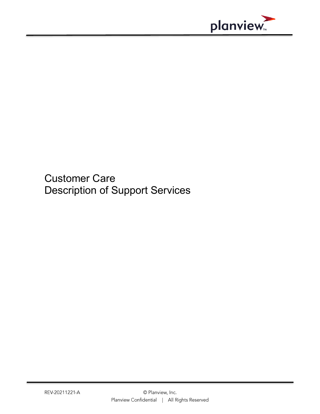

Customer Care Description of Support Services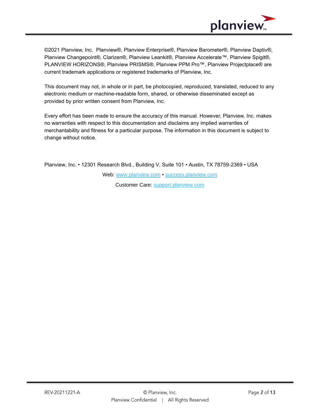

©2021 Planview, Inc. Planview®, Planview Enterprise®, Planview Barometer®, Planview Daptiv®, Planview Changepoint®, Clarizen®, Planview Leankit®, Planview Accelerate™, Planview Spigit®, PLANVIEW HORIZONS®, Planview PRISMS®, Planview PPM Pro™, Planview Projectplace® are current trademark applications or registered trademarks of Planview, Inc.

This document may not, in whole or in part, be photocopied, reproduced, translated, reduced to any electronic medium or machine-readable form, shared, or otherwise disseminated except as provided by prior written consent from Planview, Inc.

Every effort has been made to ensure the accuracy of this manual. However, Planview, Inc. makes no warranties with respect to this documentation and disclaims any implied warranties of merchantability and fitness for a particular purpose. The information in this document is subject to change without notice.

Planview, Inc. • 12301 Research Blvd., Building V, Suite 101 • Austin, TX 78759-2369 • USA Web: [www.planview.com](http://www.planview.com/) • [success.planview.com](https://success.planview.com/) Customer Care: [support.planview.com](http://support.planview.com/)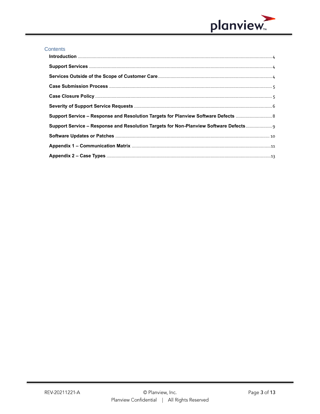

#### Contents

| Support Service - Response and Resolution Targets for Non-Planview Software Defects |  |
|-------------------------------------------------------------------------------------|--|
|                                                                                     |  |
|                                                                                     |  |
|                                                                                     |  |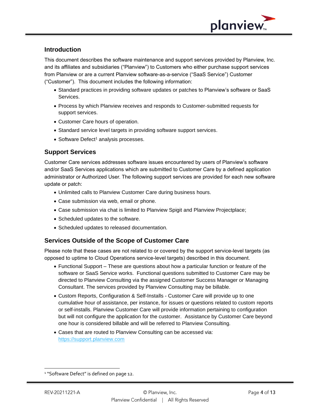

### <span id="page-3-0"></span>**Introduction**

This document describes the software maintenance and support services provided by Planview, Inc. and its affiliates and subsidiaries ("Planview") to Customers who either purchase support services from Planview or are a current Planview software-as-a-service ("SaaS Service") Customer ("Customer"). This document includes the following information:

- Standard practices in providing software updates or patches to Planview's software or SaaS Services.
- Process by which Planview receives and responds to Customer-submitted requests for support services.
- Customer Care hours of operation.
- Standard service level targets in providing software support services.
- Software Defect<sup>1</sup> analysis processes.

## <span id="page-3-1"></span>**Support Services**

Customer Care services addresses software issues encountered by users of Planview's software and/or SaaS Services applications which are submitted to Customer Care by a defined application administrator or Authorized User. The following support services are provided for each new software update or patch:

- Unlimited calls to Planview Customer Care during business hours.
- Case submission via web, email or phone.
- Case submission via chat is limited to Planview Spigit and Planview Projectplace;
- Scheduled updates to the software.
- Scheduled updates to released documentation.

### <span id="page-3-2"></span>**Services Outside of the Scope of Customer Care**

Please note that these cases are not related to or covered by the support service-level targets (as opposed to uptime to Cloud Operations service-level targets) described in this document.

- Functional Support These are questions about how a particular function or feature of the software or SaaS Service works. Functional questions submitted to Customer Care may be directed to Planview Consulting via the assigned Customer Success Manager or Managing Consultant. The services provided by Planview Consulting may be billable.
- Custom Reports, Configuration & Self-Installs Customer Care will provide up to one cumulative hour of assistance, per instance, for issues or questions related to custom reports or self-installs. Planview Customer Care will provide information pertaining to configuration but will not configure the application for the customer. Assistance by Customer Care beyond one hour is considered billable and will be referred to Planview Consulting.
- Cases that are routed to Planview Consulting can be accessed via: [https://support.planview.com](https://support.planview.com/)

<sup>&</sup>lt;sup>1</sup> "Software Defect" is defined on page 12.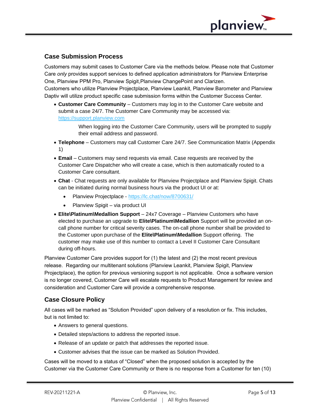

## <span id="page-4-0"></span>**Case Submission Process**

Customers may submit cases to Customer Care via the methods below. Please note that Customer Care *only* provides support services to defined application administrators for Planview Enterprise One, Planview PPM Pro, Planview Spigit,Planview ChangePoint and Clarizen.

Customers who utilize Planview Projectplace, Planview Leankit, Planview Barometer and Planview Daptiv will utilize product specific case submission forms within the Customer Success Center.

• **Customer Care Community** – Customers may log in to the Customer Care website and submit a case 24/7. The Customer Care Community may be accessed via: [https://support.planview.com](https://support.planview.com/)

> When logging into the Customer Care Community, users will be prompted to supply their email address and password.

- **Telephone** Customers may call Customer Care 24/7. See Communication Matrix (Appendix 1)
- **Email** Customers may send requests via email. Case requests are received by the Customer Care Dispatcher who will create a case, which is then automatically routed to a Customer Care consultant.
- **Chat** Chat requests are only available for Planview Projectplace and Planview Spigit. Chats can be initiated during normal business hours via the product UI or at:
	- Planview Projectplace <https://lc.chat/now/8700631/>
	- Planview Spigit via product UI
- **Elite\Platinum\Medallion Support** 24x7 Coverage Planview Customers who have elected to purchase an upgrade to **Elite\Platinum\Medallion** Support will be provided an oncall phone number for critical severity cases. The on-call phone number shall be provided to the Customer upon purchase of the **Elite\Platinum\Medallion** Support offering. The customer may make use of this number to contact a Level II Customer Care Consultant during off-hours.

Planview Customer Care provides support for (1) the latest and (2) the most recent previous release. Regarding our multitenant solutions (Planview Leankit, Planview Spigit, Planview Projectplace), the option for previous versioning support is not applicable. Once a software version is no longer covered, Customer Care will escalate requests to Product Management for review and consideration and Customer Care will provide a comprehensive response.

## <span id="page-4-1"></span>**Case Closure Policy**

All cases will be marked as "Solution Provided" upon delivery of a resolution or fix. This includes, but is not limited to:

- Answers to general questions.
- Detailed steps/actions to address the reported issue.
- Release of an update or patch that addresses the reported issue.
- Customer advises that the issue can be marked as Solution Provided.

Cases will be moved to a status of "Closed" when the proposed solution is accepted by the Customer via the Customer Care Community or there is no response from a Customer for ten (10)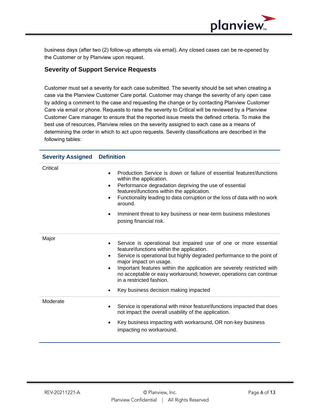

business days (after two (2) follow-up attempts via email). Any closed cases can be re-opened by the Customer or by Planview upon request.

### <span id="page-5-0"></span>**Severity of Support Service Requests**

Customer must set a severity for each case submitted. The severity should be set when creating a case via the Planview Customer Care portal. Customer may change the severity of any open case by adding a comment to the case and requesting the change or by contacting Planview Customer Care via email or phone. Requests to raise the severity to Critical will be reviewed by a Planview Customer Care manager to ensure that the reported issue meets the defined criteria. To make the best use of resources, Planview relies on the severity assigned to each case as a means of determining the order in which to act upon requests. Severity classifications are described in the following tables:

| <b>Severity Assigned</b> | <b>Definition</b>                                                                                                                                                                                                                                                                                                                                                                                                                                                                          |
|--------------------------|--------------------------------------------------------------------------------------------------------------------------------------------------------------------------------------------------------------------------------------------------------------------------------------------------------------------------------------------------------------------------------------------------------------------------------------------------------------------------------------------|
| Critical                 | Production Service is down or failure of essential features\functions<br>$\bullet$<br>within the application.<br>Performance degradation depriving the use of essential<br>$\bullet$<br>features\functions within the application.<br>Functionality leading to data corruption or the loss of data with no work<br>$\bullet$<br>around.<br>Imminent threat to key business or near-term business milestones<br>$\bullet$<br>posing financial risk.                                         |
| Major                    | Service is operational but impaired use of one or more essential<br>$\bullet$<br>feature\functions within the application.<br>Service is operational but highly degraded performance to the point of<br>$\bullet$<br>major impact on usage.<br>Important features within the application are severely restricted with<br>$\bullet$<br>no acceptable or easy workaround; however, operations can continue<br>in a restricted fashion.<br>Key business decision making impacted<br>$\bullet$ |
| Moderate                 | Service is operational with minor feature\functions impacted that does<br>$\bullet$<br>not impact the overall usability of the application.<br>Key business impacting with workaround, OR non-key business<br>$\bullet$<br>impacting no workaround.                                                                                                                                                                                                                                        |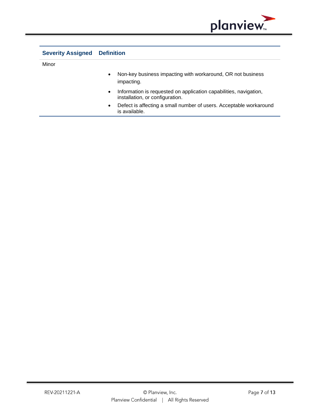

| <b>Severity Assigned</b> | Definition                                                                                                        |
|--------------------------|-------------------------------------------------------------------------------------------------------------------|
| Minor                    |                                                                                                                   |
|                          | Non-key business impacting with workaround, OR not business<br>$\bullet$<br>impacting.                            |
|                          | Information is requested on application capabilities, navigation,<br>$\bullet$<br>installation, or configuration. |
|                          | Defect is affecting a small number of users. Acceptable workaround<br>$\bullet$<br>is available.                  |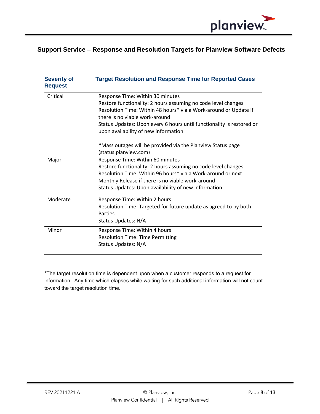

## <span id="page-7-0"></span>**Support Service – Response and Resolution Targets for Planview Software Defects**

| <b>Severity of</b><br><b>Request</b> | <b>Target Resolution and Response Time for Reported Cases</b>                                                 |
|--------------------------------------|---------------------------------------------------------------------------------------------------------------|
| Critical                             | Response Time: Within 30 minutes                                                                              |
|                                      | Restore functionality: 2 hours assuming no code level changes                                                 |
|                                      | Resolution Time: Within 48 hours* via a Work-around or Update if<br>there is no viable work-around            |
|                                      | Status Updates: Upon every 6 hours until functionality is restored or<br>upon availability of new information |
|                                      | *Mass outages will be provided via the Planview Status page<br>(status.planview.com)                          |
| Major                                | Response Time: Within 60 minutes                                                                              |
|                                      | Restore functionality: 2 hours assuming no code level changes                                                 |
|                                      | Resolution Time: Within 96 hours* via a Work-around or next                                                   |
|                                      | Monthly Release if there is no viable work-around                                                             |
|                                      | Status Updates: Upon availability of new information                                                          |
|                                      |                                                                                                               |
| Moderate                             | Response Time: Within 2 hours                                                                                 |
|                                      | Resolution Time: Targeted for future update as agreed to by both                                              |
|                                      | Parties                                                                                                       |
|                                      | Status Updates: N/A                                                                                           |
| Minor                                | Response Time: Within 4 hours                                                                                 |
|                                      | <b>Resolution Time: Time Permitting</b>                                                                       |
|                                      | Status Updates: N/A                                                                                           |
|                                      |                                                                                                               |

\*The target resolution time is dependent upon when a customer responds to a request for information. Any time which elapses while waiting for such additional information will not count toward the target resolution time.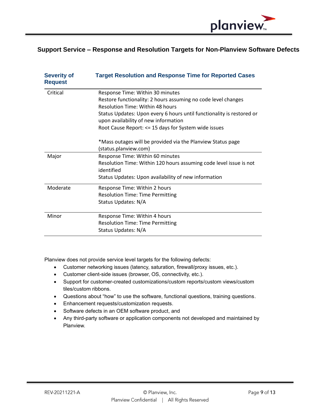

## <span id="page-8-0"></span>**Support Service – Response and Resolution Targets for Non-Planview Software Defects**

| <b>Severity of</b><br><b>Request</b> | <b>Target Resolution and Response Time for Reported Cases</b>                                                 |
|--------------------------------------|---------------------------------------------------------------------------------------------------------------|
| Critical                             | Response Time: Within 30 minutes                                                                              |
|                                      | Restore functionality: 2 hours assuming no code level changes                                                 |
|                                      | Resolution Time: Within 48 hours                                                                              |
|                                      | Status Updates: Upon every 6 hours until functionality is restored or<br>upon availability of new information |
|                                      | Root Cause Report: <= 15 days for System wide issues                                                          |
|                                      | *Mass outages will be provided via the Planview Status page<br>(status.planview.com)                          |
| Major                                | Response Time: Within 60 minutes                                                                              |
|                                      | Resolution Time: Within 120 hours assuming code level issue is not<br>identified                              |
|                                      | Status Updates: Upon availability of new information                                                          |
| Moderate                             | Response Time: Within 2 hours                                                                                 |
|                                      | <b>Resolution Time: Time Permitting</b>                                                                       |
|                                      | Status Updates: N/A                                                                                           |
| Minor                                | Response Time: Within 4 hours                                                                                 |
|                                      | <b>Resolution Time: Time Permitting</b>                                                                       |
|                                      | Status Updates: N/A                                                                                           |

Planview does not provide service level targets for the following defects:

- Customer networking issues (latency, saturation, firewall/proxy issues, etc.).
- Customer client-side issues (browser, OS, connectivity, etc.).
- Support for customer-created customizations/custom reports/custom views/custom tiles/custom ribbons.
- Questions about "how" to use the software, functional questions, training questions.
- Enhancement requests/customization requests.
- Software defects in an OEM software product, and
- Any third-party software or application components not developed and maintained by Planview.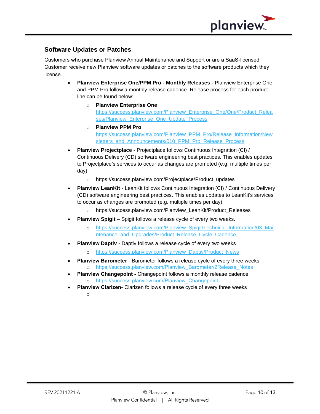

## <span id="page-9-0"></span>**Software Updates or Patches**

Customers who purchase Planview Annual Maintenance and Support or are a SaaS-licensed Customer receive new Planview software updates or patches to the software products which they license.

- **Planview Enterprise One/PPM Pro - Monthly Releases -** Planview Enterprise One and PPM Pro follow a monthly release cadence. Release process for each product line can be found below:
	- o **Planview Enterprise One** [https://success.planview.com/Planview\\_Enterprise\\_One/One/Product\\_Relea](https://success.planview.com/Planview_Enterprise_One/One/Product_Releases/Planview_Enterprise_One_Update_Process) [ses/Planview\\_Enterprise\\_One\\_Update\\_Process](https://success.planview.com/Planview_Enterprise_One/One/Product_Releases/Planview_Enterprise_One_Update_Process)
	- o **Planview PPM Pro** [https://success.planview.com/Planview\\_PPM\\_Pro/Release\\_Information/New](https://success.planview.com/Planview_PPM_Pro/Release_Information/Newsletters_and_Announcements/010_PPM_Pro_Release_Process) [sletters\\_and\\_Announcements/010\\_PPM\\_Pro\\_Release\\_Process](https://success.planview.com/Planview_PPM_Pro/Release_Information/Newsletters_and_Announcements/010_PPM_Pro_Release_Process)
- **Planview Projectplace** Projectplace follows Continuous Integration (CI) / Continuous Delivery (CD) software engineering best practices. This enables updates to Projectplace's services to occur as changes are promoted (e.g. multiple times per day).
	- o https://success.planview.com/Projectplace/Product\_updates
- **Planview LeanKit** LeanKit follows Continuous Integration (CI) / Continuous Delivery (CD) software engineering best practices. This enables updates to LeanKit's services to occur as changes are promoted (e.g. multiple times per day).
	- o https://success.planview.com/Planview\_LeanKit/Product\_Releases
- **Planview Spigit** Spigit follows a release cycle of every two weeks.
	- [https://success.planview.com/Planview\\_Spigit/Technical\\_Information/03\\_Mai](https://success.planview.com/Planview_Spigit/Technical_Information/03_Maintenance_and_Upgrades/Product_Release_Cycle_Cadence) ntenance and Upgrades/Product Release Cycle Cadence
- **Planview Daptiv**  Daptiv follows a release cycle of every two weeks
	- o [https://success.planview.com/Planview\\_Daptiv/Product\\_News](https://success.planview.com/Planview_Daptiv/Product_News)
- **Planview Barometer** Barometer follows a release cycle of every three weeks o [https://success.planview.com/Planview\\_Barometer/2Release\\_Notes](https://success.planview.com/Planview_Barometer/2Release_Notes)
	- **Planview Changepoint** Changepoint follows a monthly release cadence o [https://success.planview.com/Planview\\_Changepoint](https://success.planview.com/Planview_Changepoint)
- **Planview Clarizen** Clarizen follows a release cycle of every three weeks o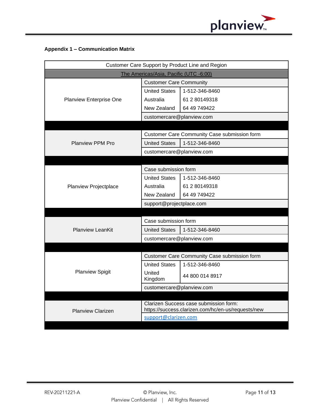

### <span id="page-10-0"></span>**Appendix 1 – Communication Matrix**

| Customer Care Support by Product Line and Region |                                                                                              |                                              |  |  |  |
|--------------------------------------------------|----------------------------------------------------------------------------------------------|----------------------------------------------|--|--|--|
| The Americas/Asia, Pacific (UTC -6:00)           |                                                                                              |                                              |  |  |  |
|                                                  | <b>Customer Care Community</b>                                                               |                                              |  |  |  |
|                                                  | <b>United States</b>                                                                         | 1-512-346-8460                               |  |  |  |
| Planview Enterprise One                          | Australia                                                                                    | 61 2 80149318                                |  |  |  |
|                                                  | New Zealand                                                                                  | 64 49 749422                                 |  |  |  |
|                                                  | customercare@planview.com                                                                    |                                              |  |  |  |
|                                                  |                                                                                              |                                              |  |  |  |
|                                                  |                                                                                              | Customer Care Community Case submission form |  |  |  |
| <b>Planview PPM Pro</b>                          | <b>United States</b>                                                                         | 1-512-346-8460                               |  |  |  |
|                                                  | customercare@planview.com                                                                    |                                              |  |  |  |
|                                                  |                                                                                              |                                              |  |  |  |
|                                                  | Case submission form                                                                         |                                              |  |  |  |
|                                                  | <b>United States</b>                                                                         | 1-512-346-8460                               |  |  |  |
| Planview Projectplace                            | Australia                                                                                    | 61 2 80149318                                |  |  |  |
|                                                  | New Zealand                                                                                  | 64 49 749422                                 |  |  |  |
|                                                  | support@projectplace.com                                                                     |                                              |  |  |  |
|                                                  |                                                                                              |                                              |  |  |  |
|                                                  | Case submission form                                                                         |                                              |  |  |  |
| <b>Planview LeanKit</b>                          | <b>United States</b>                                                                         | 1-512-346-8460                               |  |  |  |
|                                                  | customercare@planview.com                                                                    |                                              |  |  |  |
|                                                  |                                                                                              |                                              |  |  |  |
|                                                  | <b>Customer Care Community Case submission form</b>                                          |                                              |  |  |  |
|                                                  | <b>United States</b>                                                                         | 1-512-346-8460                               |  |  |  |
| <b>Planview Spigit</b>                           | United<br>Kingdom                                                                            | 44 800 014 8917                              |  |  |  |
|                                                  | customercare@planview.com                                                                    |                                              |  |  |  |
|                                                  |                                                                                              |                                              |  |  |  |
| <b>Planview Clarizen</b>                         | Clarizen Success case submission form:<br>https://success.clarizen.com/hc/en-us/requests/new |                                              |  |  |  |
|                                                  | support@clarizen.com                                                                         |                                              |  |  |  |
|                                                  |                                                                                              |                                              |  |  |  |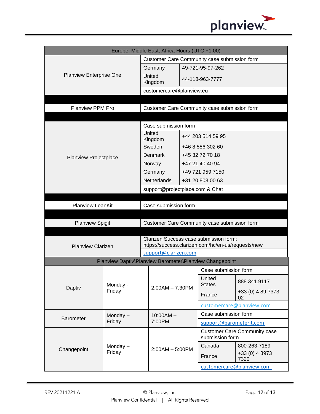

| Europe, Middle East, Africa Hours (UTC +1:00) |                    |                                                    |                                                         |                   |                                                        |                           |  |
|-----------------------------------------------|--------------------|----------------------------------------------------|---------------------------------------------------------|-------------------|--------------------------------------------------------|---------------------------|--|
| <b>Planview Enterprise One</b>                |                    | Customer Care Community case submission form       |                                                         |                   |                                                        |                           |  |
|                                               |                    | 49-721-95-97-262<br>Germany                        |                                                         |                   |                                                        |                           |  |
|                                               |                    |                                                    | United<br>44-118-963-7777<br>Kingdom                    |                   |                                                        |                           |  |
|                                               |                    |                                                    | customercare@planview.eu                                |                   |                                                        |                           |  |
|                                               |                    |                                                    |                                                         |                   |                                                        |                           |  |
| <b>Planview PPM Pro</b>                       |                    | Customer Care Community case submission form       |                                                         |                   |                                                        |                           |  |
|                                               |                    |                                                    |                                                         |                   |                                                        |                           |  |
|                                               |                    | Case submission form                               |                                                         |                   |                                                        |                           |  |
|                                               |                    |                                                    | United<br>Kingdom                                       | +44 203 514 59 95 |                                                        |                           |  |
|                                               |                    |                                                    | Sweden                                                  | +46 8 586 302 60  |                                                        |                           |  |
| <b>Planview Projectplace</b>                  |                    |                                                    | Denmark                                                 | +45 32 72 70 18   |                                                        |                           |  |
|                                               |                    |                                                    | Norway                                                  |                   | +47 21 40 40 94                                        |                           |  |
|                                               |                    |                                                    | Germany                                                 |                   | +49 721 959 7150                                       |                           |  |
|                                               |                    |                                                    | <b>Netherlands</b>                                      |                   | +31 20 808 00 63                                       |                           |  |
|                                               |                    |                                                    | support@projectplace.com & Chat                         |                   |                                                        |                           |  |
|                                               |                    |                                                    |                                                         |                   |                                                        |                           |  |
| <b>Planview LeanKit</b>                       |                    |                                                    | Case submission form                                    |                   |                                                        |                           |  |
|                                               |                    |                                                    |                                                         |                   |                                                        |                           |  |
| <b>Planview Spigit</b>                        |                    | Customer Care Community case submission form       |                                                         |                   |                                                        |                           |  |
|                                               |                    | Clarizen Success case submission form:             |                                                         |                   |                                                        |                           |  |
| <b>Planview Clarizen</b>                      |                    | https://success.clarizen.com/hc/en-us/requests/new |                                                         |                   |                                                        |                           |  |
|                                               |                    | support@clarizen.com                               |                                                         |                   |                                                        |                           |  |
|                                               |                    |                                                    | Planview Daptiv\Planview Barometer\Planview Changepoint |                   |                                                        |                           |  |
|                                               |                    |                                                    |                                                         |                   | Case submission form                                   |                           |  |
|                                               | Monday -<br>Friday |                                                    | $2:00AM - 7:30PM$                                       |                   | United<br><b>States</b>                                | 888.341.9117              |  |
| Daptiv                                        |                    |                                                    |                                                         |                   | France                                                 | +33 (0) 4 89 7373<br>02   |  |
|                                               |                    |                                                    |                                                         |                   |                                                        | customercare@planview.com |  |
|                                               | Monday $-$         |                                                    | $10:00AM -$                                             |                   | Case submission form                                   |                           |  |
| <b>Barometer</b><br>Friday                    |                    | 7:00PM                                             |                                                         |                   | support@barometerit.com                                |                           |  |
| Changepoint                                   | Monday-<br>Friday  |                                                    | $2:00AM - 5:00PM$                                       |                   | <b>Customer Care Community case</b><br>submission form |                           |  |
|                                               |                    |                                                    |                                                         |                   | Canada                                                 | 800-263-7189              |  |
|                                               |                    |                                                    |                                                         |                   | France                                                 | +33 (0) 4 8973<br>7320    |  |
|                                               |                    |                                                    |                                                         |                   |                                                        | customercare@planview.com |  |